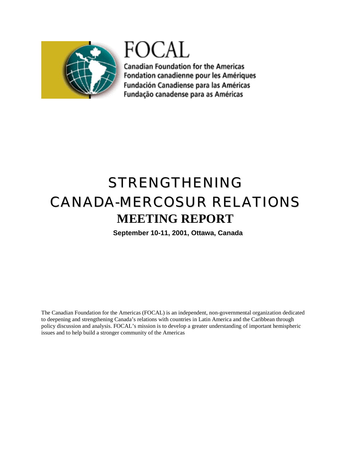

FOCAL

**Canadian Foundation for the Americas** Fondation canadienne pour les Amériques Fundación Canadiense para las Américas Fundação canadense para as Américas

# STRENGTHENING CANADA-MERCOSUR RELATIONS **MEETING REPORT**

**September 10-11, 2001, Ottawa, Canada** 

The Canadian Foundation for the Americas (FOCAL) is an independent, non-governmental organization dedicated to deepening and strengthening Canada's relations with countries in Latin America and the Caribbean through policy discussion and analysis. FOCAL's mission is to develop a greater understanding of important hemispheric issues and to help build a stronger community of the Americas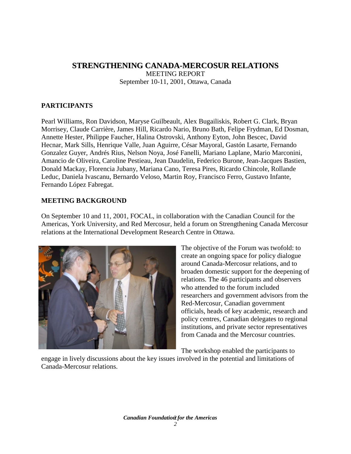## **STRENGTHENING CANADA-MERCOSUR RELATIONS**  MEETING REPORT September 10-11, 2001, Ottawa, Canada

## **PARTICIPANTS**

Pearl Williams, Ron Davidson, Maryse Guilbeault, Alex Bugailiskis, Robert G. Clark, Bryan Morrisey, Claude Carrière, James Hill, Ricardo Nario, Bruno Bath, Felipe Frydman, Ed Dosman, Annette Hester, Philippe Faucher, Halina Ostrovski, Anthony Eyton, John Bescec, David Hecnar, Mark Sills, Henrique Valle, Juan Aguirre, César Mayoral, Gastón Lasarte, Fernando Gonzalez Guyer, Andrés Rius, Nelson Noya, José Fanelli, Mariano Laplane, Mario Marconini, Amancio de Oliveira, Caroline Pestieau, Jean Daudelin, Federico Burone, Jean-Jacques Bastien, Donald Mackay, Florencia Jubany, Mariana Cano, Teresa Pires, Ricardo Chincole, Rollande Leduc, Daniela Ivascanu, Bernardo Veloso, Martin Roy, Francisco Ferro, Gustavo Infante, Fernando López Fabregat.

## **MEETING BACKGROUND**

On September 10 and 11, 2001, FOCAL, in collaboration with the Canadian Council for the Americas, York University, and Red Mercosur, held a forum on Strengthening Canada Mercosur relations at the International Development Research Centre in Ottawa.



The objective of the Forum was twofold: to create an ongoing space for policy dialogue around Canada-Mercosur relations, and to broaden domestic support for the deepening of relations. The 46 participants and observers who attended to the forum included researchers and government advisors from the Red-Mercosur, Canadian government officials, heads of key academic, research and policy centres, Canadian delegates to regional institutions, and private sector representatives from Canada and the Mercosur countries.

The workshop enabled the participants to

engage in lively discussions about the key issues involved in the potential and limitations of Canada-Mercosur relations.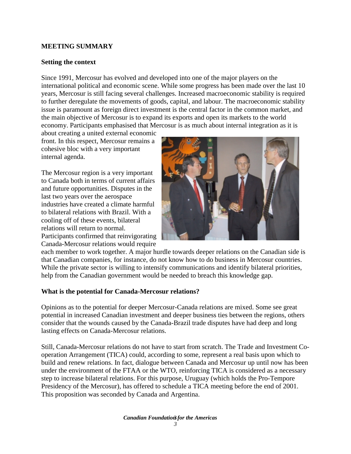## **MEETING SUMMARY**

#### **Setting the context**

Since 1991, Mercosur has evolved and developed into one of the major players on the international political and economic scene. While some progress has been made over the last 10 years, Mercosur is still facing several challenges. Increased macroeconomic stability is required to further deregulate the movements of goods, capital, and labour. The macroeconomic stability issue is paramount as foreign direct investment is the central factor in the common market, and the main objective of Mercosur is to expand its exports and open its markets to the world economy. Participants emphasised that Mercosur is as much about internal integration as it is

about creating a united external economic front. In this respect, Mercosur remains a cohesive bloc with a very important internal agenda.

The Mercosur region is a very important to Canada both in terms of current affairs and future opportunities. Disputes in the last two years over the aerospace industries have created a climate harmful to bilateral relations with Brazil. With a cooling off of these events, bilateral relations will return to normal. Participants confirmed that reinvigorating

Canada-Mercosur relations would require



each member to work together. A major hurdle towards deeper relations on the Canadian side is that Canadian companies, for instance, do not know how to do business in Mercosur countries. While the private sector is willing to intensify communications and identify bilateral priorities, help from the Canadian government would be needed to breach this knowledge gap.

### **What is the potential for Canada-Mercosur relations?**

Opinions as to the potential for deeper Mercosur-Canada relations are mixed. Some see great potential in increased Canadian investment and deeper business ties between the regions, others consider that the wounds caused by the Canada-Brazil trade disputes have had deep and long lasting effects on Canada-Mercosur relations.

Still, Canada-Mercosur relations do not have to start from scratch. The Trade and Investment Cooperation Arrangement (TICA) could, according to some, represent a real basis upon which to build and renew relations. In fact, dialogue between Canada and Mercosur up until now has been under the environment of the FTAA or the WTO, reinforcing TICA is considered as a necessary step to increase bilateral relations. For this purpose, Uruguay (which holds the Pro-Tempore Presidency of the Mercosur), has offered to schedule a TICA meeting before the end of 2001. This proposition was seconded by Canada and Argentina.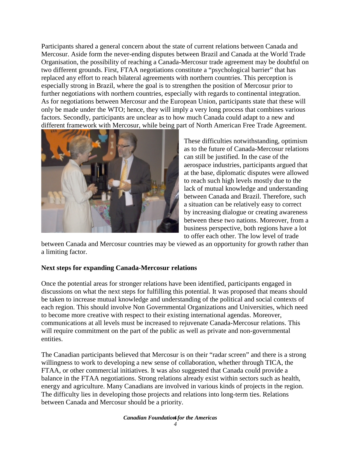Participants shared a general concern about the state of current relations between Canada and Mercosur. Aside form the never-ending disputes between Brazil and Canada at the World Trade Organisation, the possibility of reaching a Canada-Mercosur trade agreement may be doubtful on two different grounds. First, FTAA negotiations constitute a "psychological barrier" that has replaced any effort to reach bilateral agreements with northern countries. This perception is especially strong in Brazil, where the goal is to strengthen the position of Mercosur prior to further negotiations with northern countries, especially with regards to continental integration. As for negotiations between Mercosur and the European Union, participants state that these will only be made under the WTO; hence, they will imply a very long process that combines various factors. Secondly, participants are unclear as to how much Canada could adapt to a new and different framework with Mercosur, while being part of North American Free Trade Agreement.



These difficulties notwithstanding, optimism as to the future of Canada-Mercosur relations can still be justified. In the case of the aerospace industries, participants argued that at the base, diplomatic disputes were allowed to reach such high levels mostly due to the lack of mutual knowledge and understanding between Canada and Brazil. Therefore, such a situation can be relatively easy to correct by increasing dialogue or creating awareness between these two nations. Moreover, from a business perspective, both regions have a lot to offer each other. The low level of trade

between Canada and Mercosur countries may be viewed as an opportunity for growth rather than a limiting factor.

### **Next steps for expanding Canada-Mercosur relations**

Once the potential areas for stronger relations have been identified, participants engaged in discussions on what the next steps for fulfilling this potential. It was proposed that means should be taken to increase mutual knowledge and understanding of the political and social contexts of each region. This should involve Non Governmental Organizations and Universities, which need to become more creative with respect to their existing international agendas. Moreover, communications at all levels must be increased to rejuvenate Canada-Mercosur relations. This will require commitment on the part of the public as well as private and non-governmental entities.

The Canadian participants believed that Mercosur is on their "radar screen" and there is a strong willingness to work to developing a new sense of collaboration, whether through TICA, the FTAA, or other commercial initiatives. It was also suggested that Canada could provide a balance in the FTAA negotiations. Strong relations already exist within sectors such as health, energy and agriculture. Many Canadians are involved in various kinds of projects in the region. The difficulty lies in developing those projects and relations into long-term ties. Relations between Canada and Mercosur should be a priority.